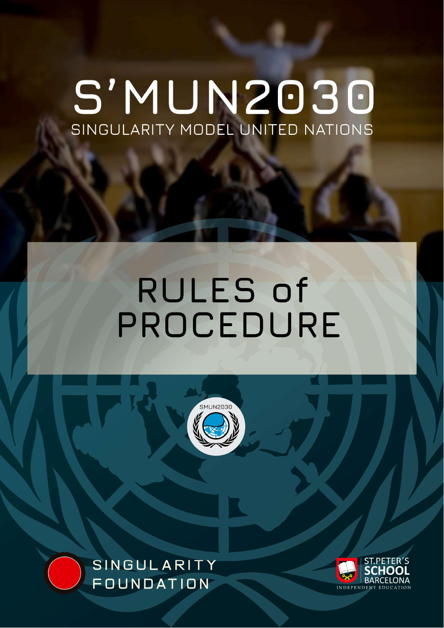# S'MUN2030 SINGULARITY MODEL UNITED NATIONS

# RULES of PROCEDURE





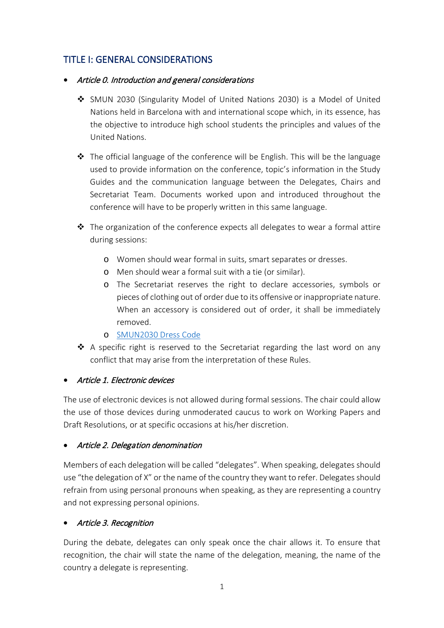# TITLE I: GENERAL CONSIDERATIONS

- Article 0. Introduction and general considerations
	- SMUN 2030 (Singularity Model of United Nations 2030) is a Model of United Nations held in Barcelona with and international scope which, in its essence, has the objective to introduce high school students the principles and values of the United Nations.
	- $\div$  The official language of the conference will be English. This will be the language used to provide information on the conference, topic's information in the Study Guides and the communication language between the Delegates, Chairs and Secretariat Team. Documents worked upon and introduced throughout the conference will have to be properly written in this same language.
	- $\clubsuit$  The organization of the conference expects all delegates to wear a formal attire during sessions:
		- o Women should wear formal in suits, smart separates or dresses.
		- o Men should wear a formal suit with a tie (or similar).
		- o The Secretariat reserves the right to declare accessories, symbols or pieces of clothing out of order due to its offensive or inappropriate nature. When an accessory is considered out of order, it shall be immediately removed.
		- o [SMUN2030 Dress Code](https://singularityfoundation.es/smun-inperson-dress/)
	- A specific right is reserved to the Secretariat regarding the last word on any conflict that may arise from the interpretation of these Rules.

#### • Article 1. Electronic devices

The use of electronic devices is not allowed during formal sessions. The chair could allow the use of those devices during unmoderated caucus to work on Working Papers and Draft Resolutions, or at specific occasions at his/her discretion.

#### • Article 2. Delegation denomination

Members of each delegation will be called "delegates". When speaking, delegates should use "the delegation of X" or the name of the country they want to refer. Delegates should refrain from using personal pronouns when speaking, as they are representing a country and not expressing personal opinions.

#### • Article 3. Recognition

During the debate, delegates can only speak once the chair allows it. To ensure that recognition, the chair will state the name of the delegation, meaning, the name of the country a delegate is representing.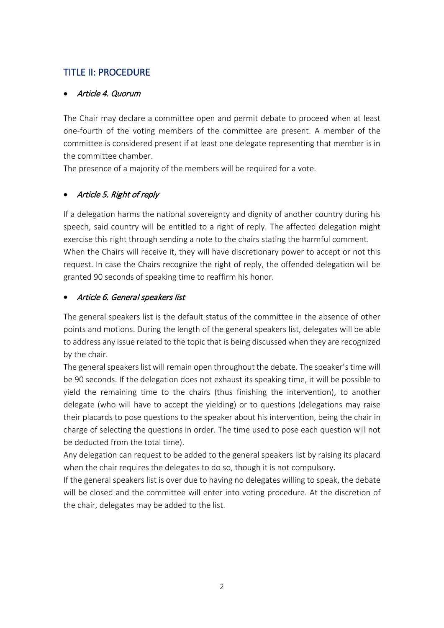# TITLE II: PROCEDURE

#### • Article 4. Quorum

The Chair may declare a committee open and permit debate to proceed when at least one-fourth of the voting members of the committee are present. A member of the committee is considered present if at least one delegate representing that member is in the committee chamber.

The presence of a majority of the members will be required for a vote.

#### • Article 5. Right of reply

If a delegation harms the national sovereignty and dignity of another country during his speech, said country will be entitled to a right of reply. The affected delegation might exercise this right through sending a note to the chairs stating the harmful comment. When the Chairs will receive it, they will have discretionary power to accept or not this request. In case the Chairs recognize the right of reply, the offended delegation will be granted 90 seconds of speaking time to reaffirm his honor.

#### • Article 6. General speakers list

The general speakers list is the default status of the committee in the absence of other points and motions. During the length of the general speakers list, delegates will be able to address any issue related to the topic that is being discussed when they are recognized by the chair.

The general speakers list will remain open throughout the debate. The speaker's time will be 90 seconds. If the delegation does not exhaust its speaking time, it will be possible to yield the remaining time to the chairs (thus finishing the intervention), to another delegate (who will have to accept the yielding) or to questions (delegations may raise their placards to pose questions to the speaker about his intervention, being the chair in charge of selecting the questions in order. The time used to pose each question will not be deducted from the total time).

Any delegation can request to be added to the general speakers list by raising its placard when the chair requires the delegates to do so, though it is not compulsory.

If the general speakers list is over due to having no delegates willing to speak, the debate will be closed and the committee will enter into voting procedure. At the discretion of the chair, delegates may be added to the list.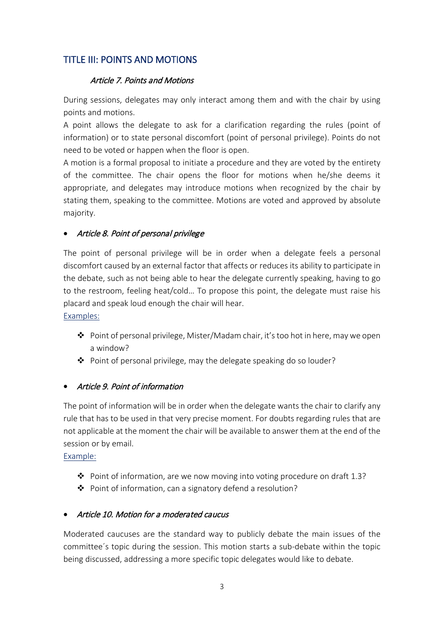## TITLE III: POINTS AND MOTIONS

#### Article 7. Points and Motions

During sessions, delegates may only interact among them and with the chair by using points and motions.

A point allows the delegate to ask for a clarification regarding the rules (point of information) or to state personal discomfort (point of personal privilege). Points do not need to be voted or happen when the floor is open.

A motion is a formal proposal to initiate a procedure and they are voted by the entirety of the committee. The chair opens the floor for motions when he/she deems it appropriate, and delegates may introduce motions when recognized by the chair by stating them, speaking to the committee. Motions are voted and approved by absolute majority.

#### • Article 8. Point of personal privilege

The point of personal privilege will be in order when a delegate feels a personal discomfort caused by an external factor that affects or reduces its ability to participate in the debate, such as not being able to hear the delegate currently speaking, having to go to the restroom, feeling heat/cold… To propose this point, the delegate must raise his placard and speak loud enough the chair will hear. Examples:

 Point of personal privilege, Mister/Madam chair, it's too hot in here, may we open a window?

◆ Point of personal privilege, may the delegate speaking do so louder?

#### • Article 9. Point of information

The point of information will be in order when the delegate wants the chair to clarify any rule that has to be used in that very precise moment. For doubts regarding rules that are not applicable at the moment the chair will be available to answer them at the end of the session or by email.

#### Example:

- Point of information, are we now moving into voting procedure on draft 1.3?
- Point of information, can a signatory defend a resolution?

#### • Article 10. Motion for a moderated caucus

Moderated caucuses are the standard way to publicly debate the main issues of the committee´s topic during the session. This motion starts a sub-debate within the topic being discussed, addressing a more specific topic delegates would like to debate.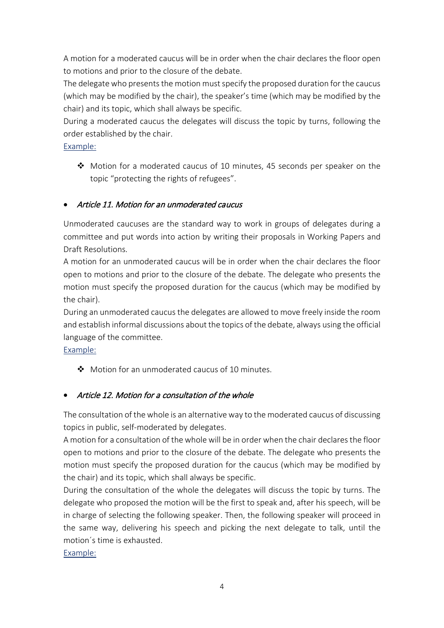A motion for a moderated caucus will be in order when the chair declares the floor open to motions and prior to the closure of the debate.

The delegate who presents the motion must specify the proposed duration for the caucus (which may be modified by the chair), the speaker's time (which may be modified by the chair) and its topic, which shall always be specific.

During a moderated caucus the delegates will discuss the topic by turns, following the order established by the chair.

#### Example:

 $\clubsuit$  Motion for a moderated caucus of 10 minutes, 45 seconds per speaker on the topic "protecting the rights of refugees".

## • Article 11. Motion for an unmoderated caucus

Unmoderated caucuses are the standard way to work in groups of delegates during a committee and put words into action by writing their proposals in Working Papers and Draft Resolutions.

A motion for an unmoderated caucus will be in order when the chair declares the floor open to motions and prior to the closure of the debate. The delegate who presents the motion must specify the proposed duration for the caucus (which may be modified by the chair).

During an unmoderated caucus the delegates are allowed to move freely inside the room and establish informal discussions about the topics of the debate, always using the official language of the committee.

Example:

Motion for an unmoderated caucus of 10 minutes.

# • Article 12. Motion for a consultation of the whole

The consultation of the whole is an alternative way to the moderated caucus of discussing topics in public, self-moderated by delegates.

A motion for a consultation of the whole will be in order when the chair declares the floor open to motions and prior to the closure of the debate. The delegate who presents the motion must specify the proposed duration for the caucus (which may be modified by the chair) and its topic, which shall always be specific.

During the consultation of the whole the delegates will discuss the topic by turns. The delegate who proposed the motion will be the first to speak and, after his speech, will be in charge of selecting the following speaker. Then, the following speaker will proceed in the same way, delivering his speech and picking the next delegate to talk, until the motion´s time is exhausted.

Example: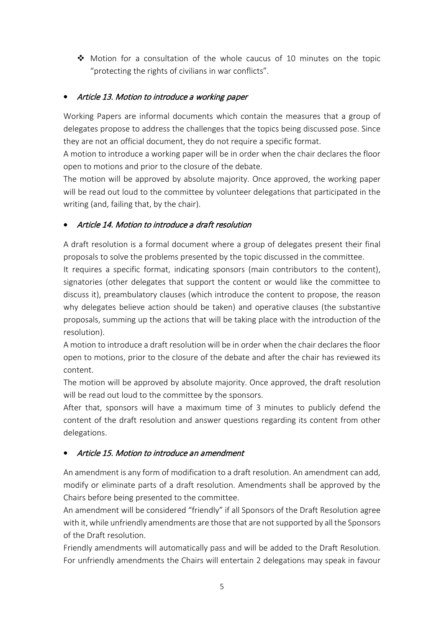$\clubsuit$  Motion for a consultation of the whole caucus of 10 minutes on the topic "protecting the rights of civilians in war conflicts".

#### • Article 13. Motion to introduce a working paper

Working Papers are informal documents which contain the measures that a group of delegates propose to address the challenges that the topics being discussed pose. Since they are not an official document, they do not require a specific format.

A motion to introduce a working paper will be in order when the chair declares the floor open to motions and prior to the closure of the debate.

The motion will be approved by absolute majority. Once approved, the working paper will be read out loud to the committee by volunteer delegations that participated in the writing (and, failing that, by the chair).

#### • Article 14. Motion to introduce a draft resolution

A draft resolution is a formal document where a group of delegates present their final proposals to solve the problems presented by the topic discussed in the committee.

It requires a specific format, indicating sponsors (main contributors to the content), signatories (other delegates that support the content or would like the committee to discuss it), preambulatory clauses (which introduce the content to propose, the reason why delegates believe action should be taken) and operative clauses (the substantive proposals, summing up the actions that will be taking place with the introduction of the resolution).

A motion to introduce a draft resolution will be in order when the chair declares the floor open to motions, prior to the closure of the debate and after the chair has reviewed its content.

The motion will be approved by absolute majority. Once approved, the draft resolution will be read out loud to the committee by the sponsors.

After that, sponsors will have a maximum time of 3 minutes to publicly defend the content of the draft resolution and answer questions regarding its content from other delegations.

#### • Article 15. Motion to introduce an amendment

An amendment is any form of modification to a draft resolution. An amendment can add, modify or eliminate parts of a draft resolution. Amendments shall be approved by the Chairs before being presented to the committee.

An amendment will be considered "friendly" if all Sponsors of the Draft Resolution agree with it, while unfriendly amendments are those that are not supported by all the Sponsors of the Draft resolution.

Friendly amendments will automatically pass and will be added to the Draft Resolution. For unfriendly amendments the Chairs will entertain 2 delegations may speak in favour